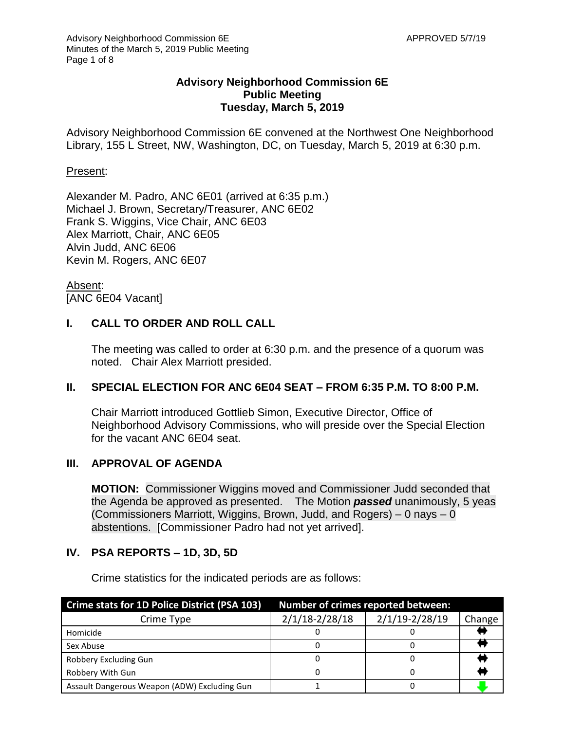## **Advisory Neighborhood Commission 6E Public Meeting Tuesday, March 5, 2019**

Advisory Neighborhood Commission 6E convened at the Northwest One Neighborhood Library, 155 L Street, NW, Washington, DC, on Tuesday, March 5, 2019 at 6:30 p.m.

## Present:

Alexander M. Padro, ANC 6E01 (arrived at 6:35 p.m.) Michael J. Brown, Secretary/Treasurer, ANC 6E02 Frank S. Wiggins, Vice Chair, ANC 6E03 Alex Marriott, Chair, ANC 6E05 Alvin Judd, ANC 6E06 Kevin M. Rogers, ANC 6E07

Absent: [ANC 6E04 Vacant]

# **I. CALL TO ORDER AND ROLL CALL**

The meeting was called to order at 6:30 p.m. and the presence of a quorum was noted. Chair Alex Marriott presided.

## **II. SPECIAL ELECTION FOR ANC 6E04 SEAT – FROM 6:35 P.M. TO 8:00 P.M.**

Chair Marriott introduced Gottlieb Simon, Executive Director, Office of Neighborhood Advisory Commissions, who will preside over the Special Election for the vacant ANC 6E04 seat.

## **III. APPROVAL OF AGENDA**

**MOTION:** Commissioner Wiggins moved and Commissioner Judd seconded that the Agenda be approved as presented. The Motion *passed* unanimously, 5 yeas (Commissioners Marriott, Wiggins, Brown, Judd, and Rogers) – 0 nays – 0 abstentions. [Commissioner Padro had not yet arrived].

## **IV. PSA REPORTS – 1D, 3D, 5D**

Crime statistics for the indicated periods are as follows:

| Crime stats for 1D Police District (PSA 103) |                    | <b>Number of crimes reported between:</b> |        |
|----------------------------------------------|--------------------|-------------------------------------------|--------|
| Crime Type                                   | $2/1/18 - 2/28/18$ | 2/1/19-2/28/19                            | Change |
| Homicide                                     |                    |                                           |        |
| Sex Abuse                                    |                    |                                           |        |
| Robbery Excluding Gun                        |                    |                                           |        |
| Robbery With Gun                             |                    |                                           |        |
| Assault Dangerous Weapon (ADW) Excluding Gun |                    |                                           |        |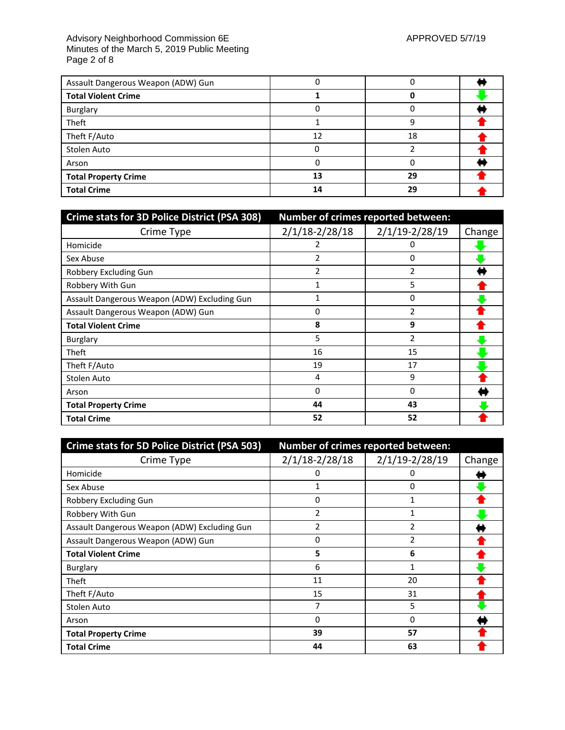#### Advisory Neighborhood Commission 6E APPROVED 5/7/19 Minutes of the March 5, 2019 Public Meeting Page 2 of 8

| Assault Dangerous Weapon (ADW) Gun |    |    |  |
|------------------------------------|----|----|--|
| <b>Total Violent Crime</b>         |    |    |  |
| Burglary                           |    |    |  |
| Theft                              |    |    |  |
| Theft F/Auto                       | 12 | 18 |  |
| Stolen Auto                        |    |    |  |
| Arson                              |    |    |  |
| <b>Total Property Crime</b>        | 13 | 29 |  |
| <b>Total Crime</b>                 | 14 | 29 |  |

| Crime stats for 3D Police District (PSA 308) | Number of crimes reported between: |                    |        |
|----------------------------------------------|------------------------------------|--------------------|--------|
| Crime Type                                   | $2/1/18 - 2/28/18$                 | $2/1/19 - 2/28/19$ | Change |
| Homicide                                     | 2                                  | 0                  |        |
| Sex Abuse                                    | 2                                  | 0                  |        |
| Robbery Excluding Gun                        | 2                                  | $\overline{2}$     |        |
| Robbery With Gun                             |                                    | 5                  |        |
| Assault Dangerous Weapon (ADW) Excluding Gun | 1                                  | $\Omega$           |        |
| Assault Dangerous Weapon (ADW) Gun           | 0                                  | $\mathfrak{p}$     |        |
| <b>Total Violent Crime</b>                   | 8                                  | 9                  |        |
| Burglary                                     | 5                                  | $\overline{2}$     |        |
| Theft                                        | 16                                 | 15                 |        |
| Theft F/Auto                                 | 19                                 | 17                 |        |
| Stolen Auto                                  | 4                                  | 9                  |        |
| Arson                                        | $\Omega$                           | $\Omega$           |        |
| <b>Total Property Crime</b>                  | 44                                 | 43                 |        |
| <b>Total Crime</b>                           | 52                                 | 52                 |        |

| <b>Crime stats for 5D Police District (PSA 503)</b> |                    | Number of crimes reported between: |        |
|-----------------------------------------------------|--------------------|------------------------------------|--------|
| Crime Type                                          | $2/1/18 - 2/28/18$ | $2/1/19 - 2/28/19$                 | Change |
| Homicide                                            | 0                  | 0                                  |        |
| Sex Abuse                                           | 1                  | 0                                  |        |
| Robbery Excluding Gun                               | 0                  | 1                                  |        |
| Robbery With Gun                                    | 2                  |                                    |        |
| Assault Dangerous Weapon (ADW) Excluding Gun        | 2                  | 2                                  |        |
| Assault Dangerous Weapon (ADW) Gun                  | 0                  | 2                                  |        |
| <b>Total Violent Crime</b>                          | 5                  | 6                                  |        |
| Burglary                                            | 6                  | 1                                  |        |
| Theft                                               | 11                 | 20                                 |        |
| Theft F/Auto                                        | 15                 | 31                                 |        |
| Stolen Auto                                         | 7                  | 5                                  |        |
| Arson                                               | 0                  | 0                                  |        |
| <b>Total Property Crime</b>                         | 39                 | 57                                 |        |
| <b>Total Crime</b>                                  | 44                 | 63                                 |        |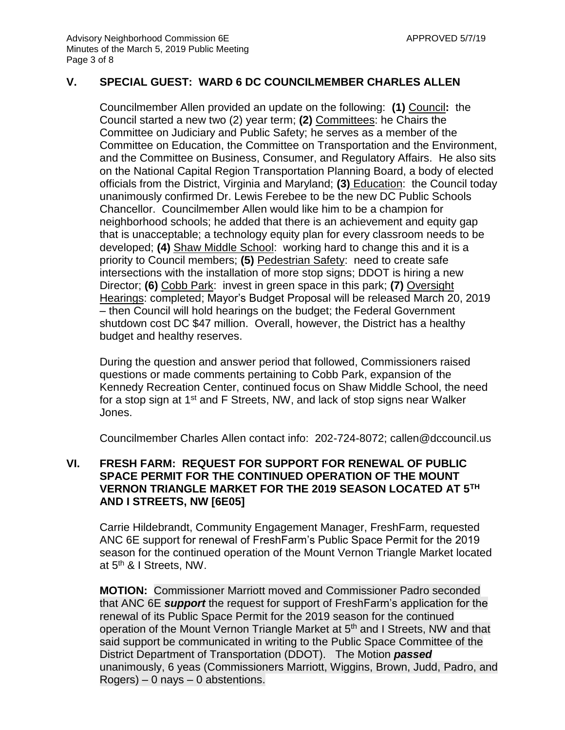## **V. SPECIAL GUEST: WARD 6 DC COUNCILMEMBER CHARLES ALLEN**

Councilmember Allen provided an update on the following: **(1)** Council**:** the Council started a new two (2) year term; **(2)** Committees: he Chairs the Committee on Judiciary and Public Safety; he serves as a member of the Committee on Education, the Committee on Transportation and the Environment, and the Committee on Business, Consumer, and Regulatory Affairs. He also sits on the National Capital Region Transportation Planning Board, a body of elected officials from the District, Virginia and Maryland; **(3)** Education: the Council today unanimously confirmed Dr. Lewis Ferebee to be the new DC Public Schools Chancellor. Councilmember Allen would like him to be a champion for neighborhood schools; he added that there is an achievement and equity gap that is unacceptable; a technology equity plan for every classroom needs to be developed; **(4)** Shaw Middle School: working hard to change this and it is a priority to Council members; **(5)** Pedestrian Safety: need to create safe intersections with the installation of more stop signs; DDOT is hiring a new Director; **(6)** Cobb Park: invest in green space in this park; **(7)** Oversight Hearings: completed; Mayor's Budget Proposal will be released March 20, 2019 – then Council will hold hearings on the budget; the Federal Government shutdown cost DC \$47 million. Overall, however, the District has a healthy budget and healthy reserves.

During the question and answer period that followed, Commissioners raised questions or made comments pertaining to Cobb Park, expansion of the Kennedy Recreation Center, continued focus on Shaw Middle School, the need for a stop sign at 1<sup>st</sup> and F Streets, NW, and lack of stop signs near Walker Jones.

Councilmember Charles Allen contact info: 202-724-8072; callen@dccouncil.us

## **VI. FRESH FARM: REQUEST FOR SUPPORT FOR RENEWAL OF PUBLIC SPACE PERMIT FOR THE CONTINUED OPERATION OF THE MOUNT VERNON TRIANGLE MARKET FOR THE 2019 SEASON LOCATED AT 5TH AND I STREETS, NW [6E05]**

Carrie Hildebrandt, Community Engagement Manager, FreshFarm, requested ANC 6E support for renewal of FreshFarm's Public Space Permit for the 2019 season for the continued operation of the Mount Vernon Triangle Market located at 5<sup>th</sup> & I Streets, NW.

**MOTION:** Commissioner Marriott moved and Commissioner Padro seconded that ANC 6E *support* the request for support of FreshFarm's application for the renewal of its Public Space Permit for the 2019 season for the continued operation of the Mount Vernon Triangle Market at 5<sup>th</sup> and I Streets, NW and that said support be communicated in writing to the Public Space Committee of the District Department of Transportation (DDOT). The Motion *passed* unanimously, 6 yeas (Commissioners Marriott, Wiggins, Brown, Judd, Padro, and  $Rogers$ ) – 0 nays – 0 abstentions.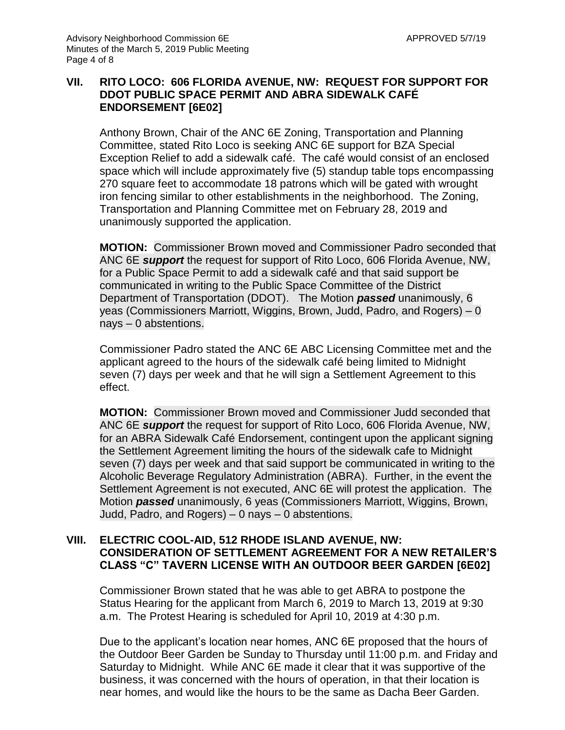# **VII. RITO LOCO: 606 FLORIDA AVENUE, NW: REQUEST FOR SUPPORT FOR DDOT PUBLIC SPACE PERMIT AND ABRA SIDEWALK CAFÉ ENDORSEMENT [6E02]**

Anthony Brown, Chair of the ANC 6E Zoning, Transportation and Planning Committee, stated Rito Loco is seeking ANC 6E support for BZA Special Exception Relief to add a sidewalk café. The café would consist of an enclosed space which will include approximately five (5) standup table tops encompassing 270 square feet to accommodate 18 patrons which will be gated with wrought iron fencing similar to other establishments in the neighborhood. The Zoning, Transportation and Planning Committee met on February 28, 2019 and unanimously supported the application.

**MOTION:** Commissioner Brown moved and Commissioner Padro seconded that ANC 6E *support* the request for support of Rito Loco, 606 Florida Avenue, NW, for a Public Space Permit to add a sidewalk café and that said support be communicated in writing to the Public Space Committee of the District Department of Transportation (DDOT). The Motion *passed* unanimously, 6 yeas (Commissioners Marriott, Wiggins, Brown, Judd, Padro, and Rogers) – 0 nays – 0 abstentions.

Commissioner Padro stated the ANC 6E ABC Licensing Committee met and the applicant agreed to the hours of the sidewalk café being limited to Midnight seven (7) days per week and that he will sign a Settlement Agreement to this effect.

**MOTION:** Commissioner Brown moved and Commissioner Judd seconded that ANC 6E *support* the request for support of Rito Loco, 606 Florida Avenue, NW, for an ABRA Sidewalk Café Endorsement, contingent upon the applicant signing the Settlement Agreement limiting the hours of the sidewalk cafe to Midnight seven (7) days per week and that said support be communicated in writing to the Alcoholic Beverage Regulatory Administration (ABRA). Further, in the event the Settlement Agreement is not executed, ANC 6E will protest the application. The Motion *passed* unanimously, 6 yeas (Commissioners Marriott, Wiggins, Brown, Judd, Padro, and Rogers) – 0 nays – 0 abstentions.

## **VIII. ELECTRIC COOL-AID, 512 RHODE ISLAND AVENUE, NW: CONSIDERATION OF SETTLEMENT AGREEMENT FOR A NEW RETAILER'S CLASS "C" TAVERN LICENSE WITH AN OUTDOOR BEER GARDEN [6E02]**

Commissioner Brown stated that he was able to get ABRA to postpone the Status Hearing for the applicant from March 6, 2019 to March 13, 2019 at 9:30 a.m. The Protest Hearing is scheduled for April 10, 2019 at 4:30 p.m.

Due to the applicant's location near homes, ANC 6E proposed that the hours of the Outdoor Beer Garden be Sunday to Thursday until 11:00 p.m. and Friday and Saturday to Midnight. While ANC 6E made it clear that it was supportive of the business, it was concerned with the hours of operation, in that their location is near homes, and would like the hours to be the same as Dacha Beer Garden.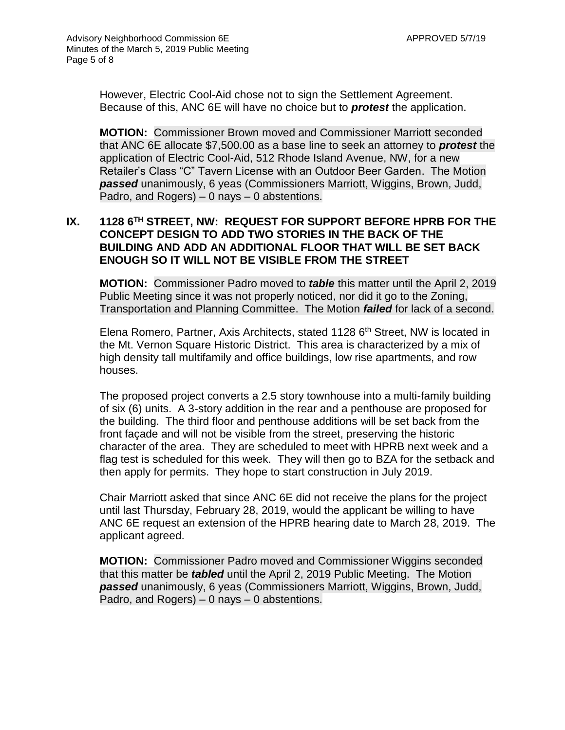However, Electric Cool-Aid chose not to sign the Settlement Agreement. Because of this, ANC 6E will have no choice but to *protest* the application.

**MOTION:** Commissioner Brown moved and Commissioner Marriott seconded that ANC 6E allocate \$7,500.00 as a base line to seek an attorney to *protest* the application of Electric Cool-Aid, 512 Rhode Island Avenue, NW, for a new Retailer's Class "C" Tavern License with an Outdoor Beer Garden. The Motion *passed* unanimously, 6 yeas (Commissioners Marriott, Wiggins, Brown, Judd, Padro, and Rogers) – 0 nays – 0 abstentions.

# **IX. 1128 6TH STREET, NW: REQUEST FOR SUPPORT BEFORE HPRB FOR THE CONCEPT DESIGN TO ADD TWO STORIES IN THE BACK OF THE BUILDING AND ADD AN ADDITIONAL FLOOR THAT WILL BE SET BACK ENOUGH SO IT WILL NOT BE VISIBLE FROM THE STREET**

**MOTION:** Commissioner Padro moved to *table* this matter until the April 2, 2019 Public Meeting since it was not properly noticed, nor did it go to the Zoning, Transportation and Planning Committee. The Motion *failed* for lack of a second.

Elena Romero, Partner, Axis Architects, stated 1128 6<sup>th</sup> Street, NW is located in the Mt. Vernon Square Historic District. This area is characterized by a mix of high density tall multifamily and office buildings, low rise apartments, and row houses.

The proposed project converts a 2.5 story townhouse into a multi-family building of six (6) units. A 3-story addition in the rear and a penthouse are proposed for the building. The third floor and penthouse additions will be set back from the front façade and will not be visible from the street, preserving the historic character of the area. They are scheduled to meet with HPRB next week and a flag test is scheduled for this week. They will then go to BZA for the setback and then apply for permits. They hope to start construction in July 2019.

Chair Marriott asked that since ANC 6E did not receive the plans for the project until last Thursday, February 28, 2019, would the applicant be willing to have ANC 6E request an extension of the HPRB hearing date to March 28, 2019. The applicant agreed.

**MOTION:** Commissioner Padro moved and Commissioner Wiggins seconded that this matter be *tabled* until the April 2, 2019 Public Meeting. The Motion *passed* unanimously, 6 yeas (Commissioners Marriott, Wiggins, Brown, Judd, Padro, and Rogers) – 0 nays – 0 abstentions.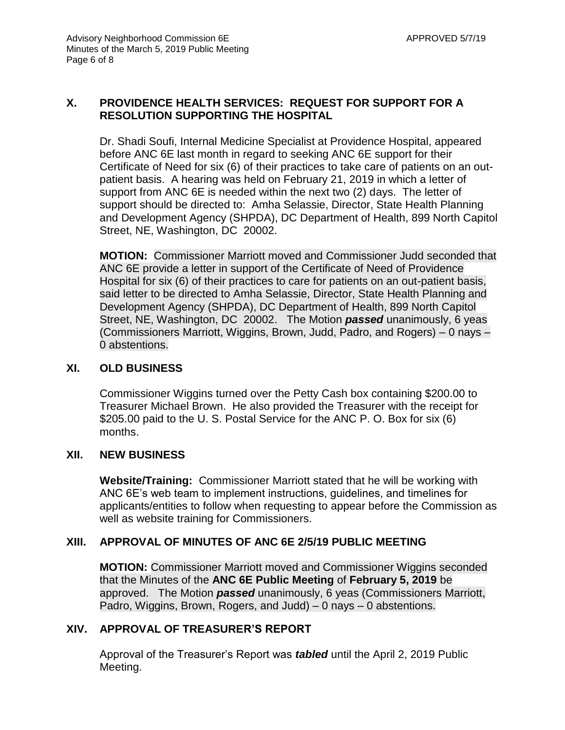# **X. PROVIDENCE HEALTH SERVICES: REQUEST FOR SUPPORT FOR A RESOLUTION SUPPORTING THE HOSPITAL**

Dr. Shadi Soufi, Internal Medicine Specialist at Providence Hospital, appeared before ANC 6E last month in regard to seeking ANC 6E support for their Certificate of Need for six (6) of their practices to take care of patients on an outpatient basis. A hearing was held on February 21, 2019 in which a letter of support from ANC 6E is needed within the next two (2) days. The letter of support should be directed to: Amha Selassie, Director, State Health Planning and Development Agency (SHPDA), DC Department of Health, 899 North Capitol Street, NE, Washington, DC 20002.

**MOTION:** Commissioner Marriott moved and Commissioner Judd seconded that ANC 6E provide a letter in support of the Certificate of Need of Providence Hospital for six (6) of their practices to care for patients on an out-patient basis, said letter to be directed to Amha Selassie, Director, State Health Planning and Development Agency (SHPDA), DC Department of Health, 899 North Capitol Street, NE, Washington, DC 20002. The Motion *passed* unanimously, 6 yeas (Commissioners Marriott, Wiggins, Brown, Judd, Padro, and Rogers) – 0 nays – 0 abstentions.

## **XI. OLD BUSINESS**

Commissioner Wiggins turned over the Petty Cash box containing \$200.00 to Treasurer Michael Brown. He also provided the Treasurer with the receipt for \$205.00 paid to the U. S. Postal Service for the ANC P. O. Box for six (6) months.

## **XII. NEW BUSINESS**

**Website/Training:** Commissioner Marriott stated that he will be working with ANC 6E's web team to implement instructions, guidelines, and timelines for applicants/entities to follow when requesting to appear before the Commission as well as website training for Commissioners.

# **XIII. APPROVAL OF MINUTES OF ANC 6E 2/5/19 PUBLIC MEETING**

**MOTION:** Commissioner Marriott moved and Commissioner Wiggins seconded that the Minutes of the **ANC 6E Public Meeting** of **February 5, 2019** be approved. The Motion *passed* unanimously, 6 yeas (Commissioners Marriott, Padro, Wiggins, Brown, Rogers, and Judd) – 0 nays – 0 abstentions.

## **XIV. APPROVAL OF TREASURER'S REPORT**

Approval of the Treasurer's Report was *tabled* until the April 2, 2019 Public Meeting.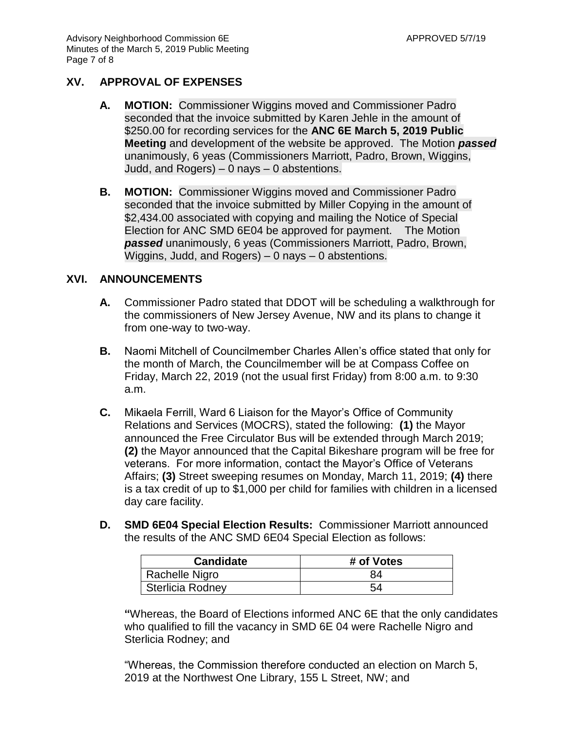## **XV. APPROVAL OF EXPENSES**

- **A. MOTION:** Commissioner Wiggins moved and Commissioner Padro seconded that the invoice submitted by Karen Jehle in the amount of \$250.00 for recording services for the **ANC 6E March 5, 2019 Public Meeting** and development of the website be approved. The Motion *passed* unanimously, 6 yeas (Commissioners Marriott, Padro, Brown, Wiggins, Judd, and Rogers) – 0 nays – 0 abstentions.
- **B. MOTION:** Commissioner Wiggins moved and Commissioner Padro seconded that the invoice submitted by Miller Copying in the amount of \$2,434.00 associated with copying and mailing the Notice of Special Election for ANC SMD 6E04 be approved for payment. The Motion *passed* unanimously, 6 yeas (Commissioners Marriott, Padro, Brown, Wiggins, Judd, and Rogers) – 0 nays – 0 abstentions.

#### **XVI. ANNOUNCEMENTS**

- **A.** Commissioner Padro stated that DDOT will be scheduling a walkthrough for the commissioners of New Jersey Avenue, NW and its plans to change it from one-way to two-way.
- **B.** Naomi Mitchell of Councilmember Charles Allen's office stated that only for the month of March, the Councilmember will be at Compass Coffee on Friday, March 22, 2019 (not the usual first Friday) from 8:00 a.m. to 9:30 a.m.
- **C.** Mikaela Ferrill, Ward 6 Liaison for the Mayor's Office of Community Relations and Services (MOCRS), stated the following: **(1)** the Mayor announced the Free Circulator Bus will be extended through March 2019; **(2)** the Mayor announced that the Capital Bikeshare program will be free for veterans. For more information, contact the Mayor's Office of Veterans Affairs; **(3)** Street sweeping resumes on Monday, March 11, 2019; **(4)** there is a tax credit of up to \$1,000 per child for families with children in a licensed day care facility.
- **D. SMD 6E04 Special Election Results:** Commissioner Marriott announced the results of the ANC SMD 6E04 Special Election as follows:

| <b>Candidate</b> | # of Votes |
|------------------|------------|
| Rachelle Nigro   | 84         |
| Sterlicia Rodney | 54         |

**"**Whereas, the Board of Elections informed ANC 6E that the only candidates who qualified to fill the vacancy in SMD 6E 04 were Rachelle Nigro and Sterlicia Rodney; and

"Whereas, the Commission therefore conducted an election on March 5, 2019 at the Northwest One Library, 155 L Street, NW; and